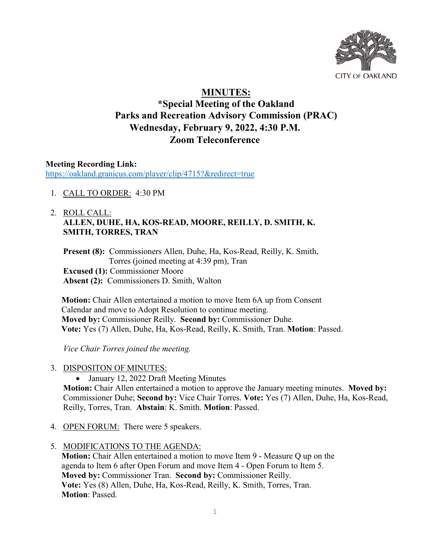

# **MINUTES:**

## **\*Special Meeting of the Oakland Parks and Recreation Advisory Commission (PRAC) Wednesday, February 9, 2022, 4:30 P.M. Zoom Teleconference**

**Meeting Recording Link:**  <https://oakland.granicus.com/player/clip/4715?&redirect=true>

1. CALL TO ORDER: 4:30 PM

## 2. ROLL CALL: **ALLEN, DUHE, HA, KOS-READ, MOORE, REILLY, D. SMITH, K. SMITH, TORRES, TRAN**

**Present (8):** Commissioners Allen, Duhe, Ha, Kos-Read, Reilly, K. Smith, Torres (joined meeting at 4:39 pm), Tran **Excused (1):** Commissioner Moore **Absent (2):** Commissioners D. Smith, Walton

**Motion:** Chair Allen entertained a motion to move Item 6A up from Consent Calendar and move to Adopt Resolution to continue meeting. **Moved by:** Commissioner Reilly. **Second by:** Commissioner Duhe. **Vote:** Yes (7) Allen, Duhe, Ha, Kos-Read, Reilly, K. Smith, Tran. **Motion**: Passed.

*Vice Chair Torres joined the meeting.* 

- 3. DISPOSITON OF MINUTES:
	- January 12, 2022 Draft Meeting Minutes

**Motion:** Chair Allen entertained a motion to approve the January meeting minutes. **Moved by:** Commissioner Duhe; **Second by:** Vice Chair Torres. **Vote:** Yes (7) Allen, Duhe, Ha, Kos-Read, Reilly, Torres, Tran. **Abstain**: K. Smith. **Motion**: Passed.

- 4. OPEN FORUM: There were 5 speakers.
- 5. MODIFICATIONS TO THE AGENDA:

**Motion:** Chair Allen entertained a motion to move Item 9 - Measure Q up on the agenda to Item 6 after Open Forum and move Item 4 - Open Forum to Item 5. **Moved by:** Commissioner Tran. **Second by:** Commissioner Reilly. **Vote:** Yes (8) Allen, Duhe, Ha, Kos-Read, Reilly, K. Smith, Torres, Tran. **Motion**: Passed.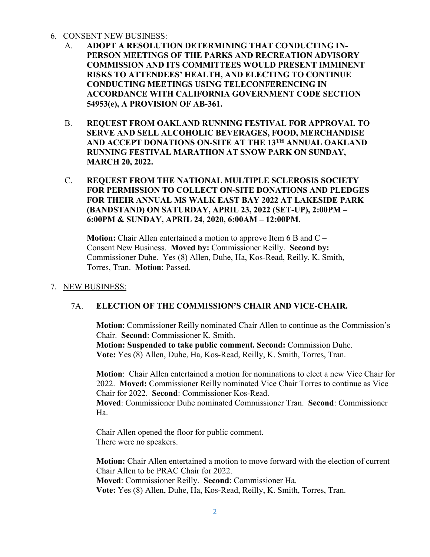#### 6. CONSENT NEW BUSINESS:

- A. **ADOPT A RESOLUTION DETERMINING THAT CONDUCTING IN-PERSON MEETINGS OF THE PARKS AND RECREATION ADVISORY COMMISSION AND ITS COMMITTEES WOULD PRESENT IMMINENT RISKS TO ATTENDEES' HEALTH, AND ELECTING TO CONTINUE CONDUCTING MEETINGS USING TELECONFERENCING IN ACCORDANCE WITH CALIFORNIA GOVERNMENT CODE SECTION**  54953(e), A PROVISION OF AB-361.
- B. **REQUEST FROM OAKLAND RUNNING FESTIVAL FOR APPROVAL TO SERVE AND SELL ALCOHOLIC BEVERAGES, FOOD, MERCHANDISE AND ACCEPT DONATIONS ON-SITE AT THE 13TH ANNUAL OAKLAND RUNNING FESTIVAL MARATHON AT SNOW PARK ON SUNDAY, MARCH 20, 2022.**
- C. **REQUEST FROM THE NATIONAL MULTIPLE SCLEROSIS SOCIETY FOR PERMISSION TO COLLECT ON-SITE DONATIONS AND PLEDGES FOR THEIR ANNUAL MS WALK EAST BAY 2022 AT LAKESIDE PARK (BANDSTAND) ON SATURDAY, APRIL 23, 2022 (SET-UP), 2:00PM – 6:00PM & SUNDAY, APRIL 24, 2020, 6:00AM – 12:00PM.**

**Motion:** Chair Allen entertained a motion to approve Item 6 B and C – Consent New Business. **Moved by:** Commissioner Reilly. **Second by:** Commissioner Duhe. Yes (8) Allen, Duhe, Ha, Kos-Read, Reilly, K. Smith, Torres, Tran. **Motion**: Passed.

7. NEW BUSINESS:

#### 7A. **ELECTION OF THE COMMISSION'S CHAIR AND VICE-CHAIR.**

**Motion**: Commissioner Reilly nominated Chair Allen to continue as the Commission's Chair. **Second**: Commissioner K. Smith.

**Motion: Suspended to take public comment. Second:** Commission Duhe. **Vote:** Yes (8) Allen, Duhe, Ha, Kos-Read, Reilly, K. Smith, Torres, Tran.

**Motion**: Chair Allen entertained a motion for nominations to elect a new Vice Chair for 2022. **Moved:** Commissioner Reilly nominated Vice Chair Torres to continue as Vice Chair for 2022. **Second**: Commissioner Kos-Read.

**Moved**: Commissioner Duhe nominated Commissioner Tran. **Second**: Commissioner Ha.

Chair Allen opened the floor for public comment. There were no speakers.

**Motion:** Chair Allen entertained a motion to move forward with the election of current Chair Allen to be PRAC Chair for 2022. **Moved**: Commissioner Reilly. **Second**: Commissioner Ha. **Vote:** Yes (8) Allen, Duhe, Ha, Kos-Read, Reilly, K. Smith, Torres, Tran.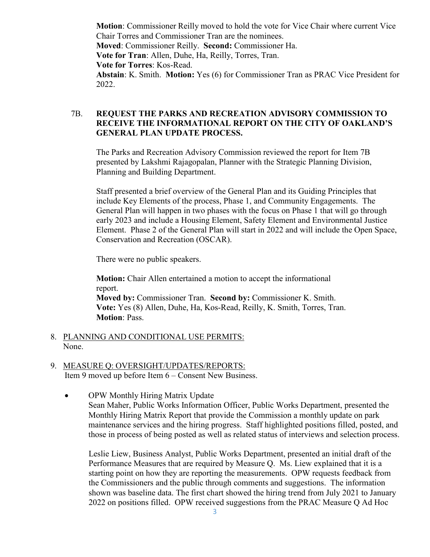**Motion**: Commissioner Reilly moved to hold the vote for Vice Chair where current Vice Chair Torres and Commissioner Tran are the nominees. **Moved**: Commissioner Reilly. **Second:** Commissioner Ha. **Vote for Tran**: Allen, Duhe, Ha, Reilly, Torres, Tran. **Vote for Torres**: Kos-Read. **Abstain**: K. Smith. **Motion:** Yes (6) for Commissioner Tran as PRAC Vice President for 2022.

#### 7B. **REQUEST THE PARKS AND RECREATION ADVISORY COMMISSION TO RECEIVE THE INFORMATIONAL REPORT ON THE CITY OF OAKLAND'S GENERAL PLAN UPDATE PROCESS.**

The Parks and Recreation Advisory Commission reviewed the report for Item 7B presented by Lakshmi Rajagopalan, Planner with the Strategic Planning Division, Planning and Building Department.

Staff presented a brief overview of the General Plan and its Guiding Principles that include Key Elements of the process, Phase 1, and Community Engagements. The General Plan will happen in two phases with the focus on Phase 1 that will go through early 2023 and include a Housing Element, Safety Element and Environmental Justice Element. Phase 2 of the General Plan will start in 2022 and will include the Open Space, Conservation and Recreation (OSCAR).

There were no public speakers.

**Motion:** Chair Allen entertained a motion to accept the informational report. **Moved by:** Commissioner Tran. **Second by:** Commissioner K. Smith. **Vote:** Yes (8) Allen, Duhe, Ha, Kos-Read, Reilly, K. Smith, Torres, Tran. **Motion**: Pass.

- 8. PLANNING AND CONDITIONAL USE PERMITS: None.
- 9. MEASURE Q: OVERSIGHT/UPDATES/REPORTS: Item 9 moved up before Item 6 – Consent New Business.
	- OPW Monthly Hiring Matrix Update Sean Maher, Public Works Information Officer, Public Works Department, presented the Monthly Hiring Matrix Report that provide the Commission a monthly update on park maintenance services and the hiring progress. Staff highlighted positions filled, posted, and those in process of being posted as well as related status of interviews and selection process.

Leslie Liew, Business Analyst, Public Works Department, presented an initial draft of the Performance Measures that are required by Measure Q. Ms. Liew explained that it is a starting point on how they are reporting the measurements. OPW requests feedback from the Commissioners and the public through comments and suggestions. The information shown was baseline data. The first chart showed the hiring trend from July 2021 to January 2022 on positions filled. OPW received suggestions from the PRAC Measure Q Ad Hoc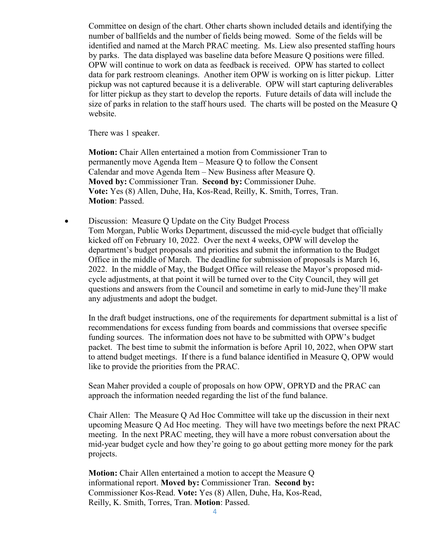Committee on design of the chart. Other charts shown included details and identifying the number of ballfields and the number of fields being mowed. Some of the fields will be identified and named at the March PRAC meeting. Ms. Liew also presented staffing hours by parks. The data displayed was baseline data before Measure Q positions were filled. OPW will continue to work on data as feedback is received. OPW has started to collect data for park restroom cleanings. Another item OPW is working on is litter pickup. Litter pickup was not captured because it is a deliverable. OPW will start capturing deliverables for litter pickup as they start to develop the reports. Future details of data will include the size of parks in relation to the staff hours used. The charts will be posted on the Measure Q website.

There was 1 speaker.

**Motion:** Chair Allen entertained a motion from Commissioner Tran to permanently move Agenda Item – Measure Q to follow the Consent Calendar and move Agenda Item – New Business after Measure Q. **Moved by:** Commissioner Tran. **Second by:** Commissioner Duhe. **Vote:** Yes (8) Allen, Duhe, Ha, Kos-Read, Reilly, K. Smith, Torres, Tran. **Motion**: Passed.

• Discussion: Measure Q Update on the City Budget Process Tom Morgan, Public Works Department, discussed the mid-cycle budget that officially kicked off on February 10, 2022. Over the next 4 weeks, OPW will develop the department's budget proposals and priorities and submit the information to the Budget Office in the middle of March. The deadline for submission of proposals is March 16, 2022. In the middle of May, the Budget Office will release the Mayor's proposed midcycle adjustments, at that point it will be turned over to the City Council, they will get questions and answers from the Council and sometime in early to mid-June they'll make any adjustments and adopt the budget.

In the draft budget instructions, one of the requirements for department submittal is a list of recommendations for excess funding from boards and commissions that oversee specific funding sources. The information does not have to be submitted with OPW's budget packet. The best time to submit the information is before April 10, 2022, when OPW start to attend budget meetings. If there is a fund balance identified in Measure Q, OPW would like to provide the priorities from the PRAC.

Sean Maher provided a couple of proposals on how OPW, OPRYD and the PRAC can approach the information needed regarding the list of the fund balance.

Chair Allen: The Measure Q Ad Hoc Committee will take up the discussion in their next upcoming Measure Q Ad Hoc meeting. They will have two meetings before the next PRAC meeting. In the next PRAC meeting, they will have a more robust conversation about the mid-year budget cycle and how they're going to go about getting more money for the park projects.

**Motion:** Chair Allen entertained a motion to accept the Measure Q informational report. **Moved by:** Commissioner Tran. **Second by:** Commissioner Kos-Read. **Vote:** Yes (8) Allen, Duhe, Ha, Kos-Read, Reilly, K. Smith, Torres, Tran. **Motion**: Passed.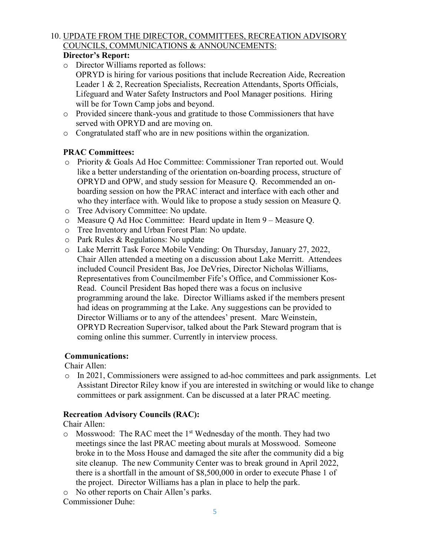## 10. UPDATE FROM THE DIRECTOR, COMMITTEES, RECREATION ADVISORY COUNCILS, COMMUNICATIONS & ANNOUNCEMENTS:

## **Director's Report:**

- o Director Williams reported as follows:
- OPRYD is hiring for various positions that include Recreation Aide, Recreation Leader 1 & 2, Recreation Specialists, Recreation Attendants, Sports Officials, Lifeguard and Water Safety Instructors and Pool Manager positions. Hiring will be for Town Camp jobs and beyond.
- o Provided sincere thank-yous and gratitude to those Commissioners that have served with OPRYD and are moving on.
- o Congratulated staff who are in new positions within the organization.

## **PRAC Committees:**

- o Priority & Goals Ad Hoc Committee: Commissioner Tran reported out. Would like a better understanding of the orientation on-boarding process, structure of OPRYD and OPW, and study session for Measure Q. Recommended an onboarding session on how the PRAC interact and interface with each other and who they interface with. Would like to propose a study session on Measure Q.
- o Tree Advisory Committee: No update.
- o Measure Q Ad Hoc Committee: Heard update in Item 9 Measure Q.
- o Tree Inventory and Urban Forest Plan: No update.
- o Park Rules & Regulations: No update
- o Lake Merritt Task Force Mobile Vending: On Thursday, January 27, 2022, Chair Allen attended a meeting on a discussion about Lake Merritt. Attendees included Council President Bas, Joe DeVries, Director Nicholas Williams, Representatives from Councilmember Fife's Office, and Commissioner Kos-Read. Council President Bas hoped there was a focus on inclusive programming around the lake. Director Williams asked if the members present had ideas on programming at the Lake. Any suggestions can be provided to Director Williams or to any of the attendees' present. Marc Weinstein, OPRYD Recreation Supervisor, talked about the Park Steward program that is coming online this summer. Currently in interview process.

#### **Communications:**

Chair Allen:

o In 2021, Commissioners were assigned to ad-hoc committees and park assignments. Let Assistant Director Riley know if you are interested in switching or would like to change committees or park assignment. Can be discussed at a later PRAC meeting.

#### **Recreation Advisory Councils (RAC):**

Chair Allen:

- $\circ$  Mosswood: The RAC meet the 1<sup>st</sup> Wednesday of the month. They had two meetings since the last PRAC meeting about murals at Mosswood. Someone broke in to the Moss House and damaged the site after the community did a big site cleanup. The new Community Center was to break ground in April 2022, there is a shortfall in the amount of \$8,500,000 in order to execute Phase 1 of the project. Director Williams has a plan in place to help the park.
- o No other reports on Chair Allen's parks.

Commissioner Duhe: